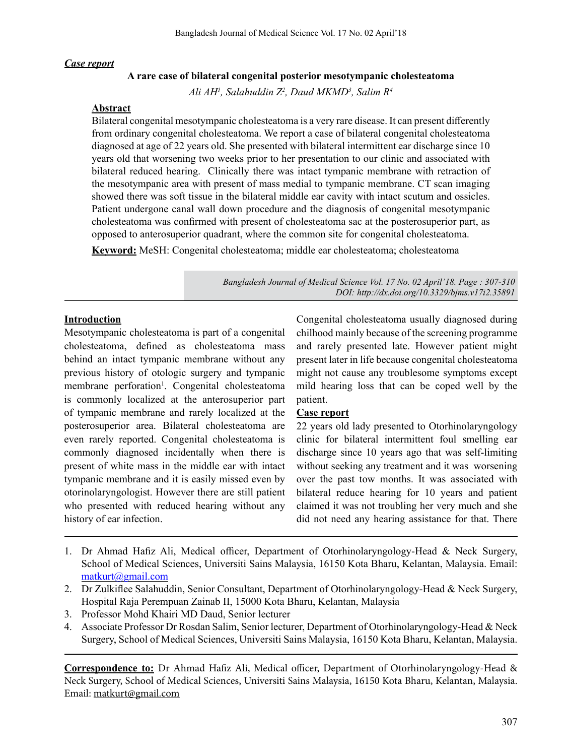#### *Case report*

### **A rare case of bilateral congenital posterior mesotympanic cholesteatoma**

*Ali AH1 , Salahuddin Z2 , Daud MKMD3 , Salim R4*

#### **Abstract**

Bilateral congenital mesotympanic cholesteatoma is a very rare disease. It can present differently from ordinary congenital cholesteatoma. We report a case of bilateral congenital cholesteatoma diagnosed at age of 22 years old. She presented with bilateral intermittent ear discharge since 10 years old that worsening two weeks prior to her presentation to our clinic and associated with bilateral reduced hearing. Clinically there was intact tympanic membrane with retraction of the mesotympanic area with present of mass medial to tympanic membrane. CT scan imaging showed there was soft tissue in the bilateral middle ear cavity with intact scutum and ossicles. Patient undergone canal wall down procedure and the diagnosis of congenital mesotympanic cholesteatoma was confirmed with present of cholesteatoma sac at the posterosuperior part, as opposed to anterosuperior quadrant, where the common site for congenital cholesteatoma.

**Keyword:** MeSH: Congenital cholesteatoma; middle ear cholesteatoma; cholesteatoma

*Bangladesh Journal of Medical Science Vol. 17 No. 02 April'18. Page : 307-310 DOI: http://dx.doi.org/10.3329/bjms.v17i2.35891* 

### **Introduction**

Mesotympanic cholesteatoma is part of a congenital cholesteatoma, defined as cholesteatoma mass behind an intact tympanic membrane without any previous history of otologic surgery and tympanic membrane perforation<sup>1</sup>. Congenital cholesteatoma is commonly localized at the anterosuperior part of tympanic membrane and rarely localized at the posterosuperior area. Bilateral cholesteatoma are even rarely reported. Congenital cholesteatoma is commonly diagnosed incidentally when there is present of white mass in the middle ear with intact tympanic membrane and it is easily missed even by otorinolaryngologist. However there are still patient who presented with reduced hearing without any history of ear infection.

Congenital cholesteatoma usually diagnosed during chilhood mainly because of the screening programme and rarely presented late. However patient might present later in life because congenital cholesteatoma might not cause any troublesome symptoms except mild hearing loss that can be coped well by the patient.

## **Case report**

22 years old lady presented to Otorhinolaryngology clinic for bilateral intermittent foul smelling ear discharge since 10 years ago that was self-limiting without seeking any treatment and it was worsening over the past tow months. It was associated with bilateral reduce hearing for 10 years and patient claimed it was not troubling her very much and she did not need any hearing assistance for that. There

- 1. Dr Ahmad Hafiz Ali, Medical officer, Department of Otorhinolaryngology-Head & Neck Surgery, School of Medical Sciences, Universiti Sains Malaysia, 16150 Kota Bharu, Kelantan, Malaysia. Email: matkurt@gmail.com
- 2. Dr Zulkiflee Salahuddin, Senior Consultant, Department of Otorhinolaryngology-Head & Neck Surgery, Hospital Raja Perempuan Zainab II, 15000 Kota Bharu, Kelantan, Malaysia
- 3. Professor Mohd Khairi MD Daud, Senior lecturer
- 4. Associate Professor Dr Rosdan Salim, Senior lecturer, Department of Otorhinolaryngology-Head & Neck Surgery, School of Medical Sciences, Universiti Sains Malaysia, 16150 Kota Bharu, Kelantan, Malaysia.

**Correspondence to:** Dr Ahmad Hafiz Ali, Medical officer, Department of Otorhinolaryngology-Head & Neck Surgery, School of Medical Sciences, Universiti Sains Malaysia, 16150 Kota Bharu, Kelantan, Malaysia. Email: matkurt@gmail.com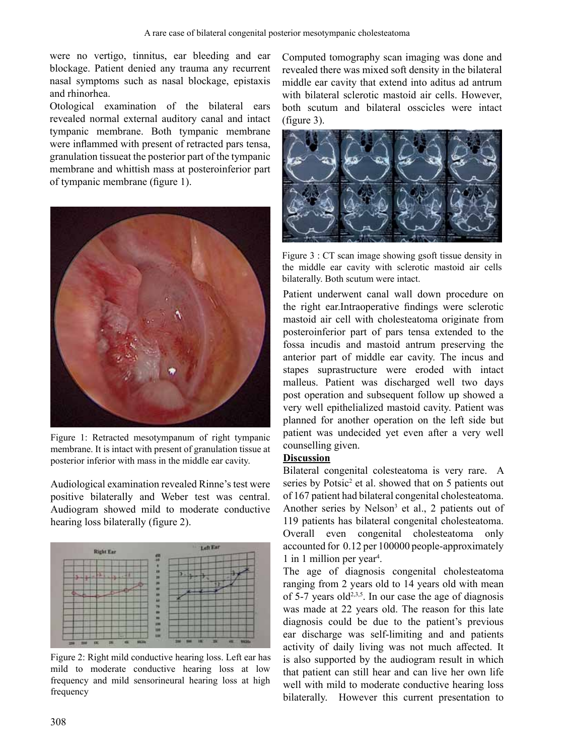were no vertigo, tinnitus, ear bleeding and ear blockage. Patient denied any trauma any recurrent nasal symptoms such as nasal blockage, epistaxis and rhinorhea.

Otological examination of the bilateral ears revealed normal external auditory canal and intact tympanic membrane. Both tympanic membrane were inflammed with present of retracted pars tensa, granulation tissueat the posterior part of the tympanic membrane and whittish mass at posteroinferior part of tympanic membrane (figure 1).



Figure 1: Retracted mesotympanum of right tympanic membrane. It is intact with present of granulation tissue at posterior inferior with mass in the middle ear cavity.

Audiological examination revealed Rinne's test were *positive bilaterally and Weber test was central.* Audiogram showed mild to moderate conductive *hearing loss bilaterally (figure 2).* 



Figure 2: Right mild conductive hearing loss. Left ear has *PLOG WR PRGHUDWH FRQGXFWLYH KHDULQJ ORVV DW ORZ IUHTXHQF\ DQG PLOG VHQVRULQHXUDO KHDULQJ ORVV DW KLJK*  $frequency$ 

Computed tomography scan imaging was done and revealed there was mixed soft density in the bilateral middle ear cavity that extend into aditus ad antrum *xith bilateral sclerotic mastoid air cells. However, ERFERFOHVERFOHUDO Bilateral osscicles* were *intact (figure 3).* 



Figure 3 : CT scan image showing gsoft tissue density in *Hhe middle ear cavity with sclerotic mastoid air cells* bilaterally. Both scutum were intact.

Patient underwent canal wall down procedure on the right ear.Intraoperative findings were sclerotic mastoid air cell with cholesteatoma originate from posteroinferior part of pars tensa extended to the fossa incudis and mastoid antrum preserving the anterior part of middle ear cavity. The incus and stapes suprastructure were eroded with intact malleus. Patient was discharged well two days post operation and subsequent follow up showed a very well epithelialized mastoid cavity. Patient was planned for another operation on the left side but patient was undecided yet even after a very well counselling given.

## **Discussion**

Bilateral congenital colesteatoma is very rare. A series by Potsic<sup>2</sup> et al. showed that on 5 patients out of 167 patient had bilateral congenital cholesteatoma. Another series by Nelson<sup>3</sup> et al., 2 patients out of 119 patients has bilateral congenital cholesteatoma. Overall even congenital cholesteatoma only accounted for 0.12 per 100000 people-approximately 1 in 1 million per year<sup>4</sup> .

The age of diagnosis congenital cholesteatoma ranging from 2 years old to 14 years old with mean of 5-7 years old<sup>2,3,5</sup>. In our case the age of diagnosis was made at 22 years old. The reason for this late diagnosis could be due to the patient's previous ear discharge was self-limiting and and patients activity of daily living was not much affected. It is also supported by the audiogram result in which that patient can still hear and can live her own life well with mild to moderate conductive hearing loss bilaterally. However this current presentation to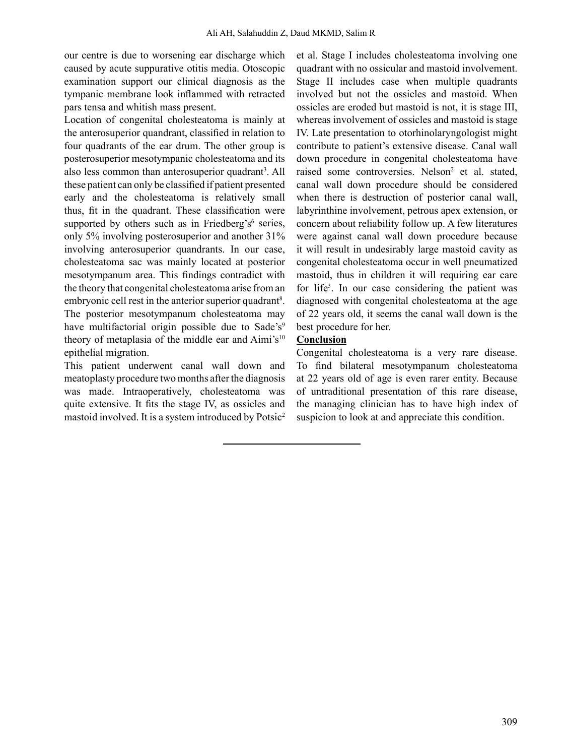our centre is due to worsening ear discharge which caused by acute suppurative otitis media. Otoscopic examination support our clinical diagnosis as the tympanic membrane look inflammed with retracted pars tensa and whitish mass present.

Location of congenital cholesteatoma is mainly at the anterosuperior quandrant, classified in relation to four quadrants of the ear drum. The other group is posterosuperior mesotympanic cholesteatoma and its also less common than anterosuperior quadrant<sup>3</sup>. All these patient can only be classified if patient presented early and the cholesteatoma is relatively small thus, fit in the quadrant. These classification were supported by others such as in Friedberg's $6$  series, only 5% involving posterosuperior and another 31% involving anterosuperior quandrants. In our case, cholesteatoma sac was mainly located at posterior mesotympanum area. This findings contradict with the theory that congenital cholesteatoma arise from an embryonic cell rest in the anterior superior quadrant<sup>8</sup>. The posterior mesotympanum cholesteatoma may have multifactorial origin possible due to Sade's<sup>9</sup> theory of metaplasia of the middle ear and Aimi's<sup>10</sup> epithelial migration.

This patient underwent canal wall down and meatoplasty procedure two months after the diagnosis was made. Intraoperatively, cholesteatoma was quite extensive. It fits the stage IV, as ossicles and mastoid involved. It is a system introduced by Potsic<sup>2</sup>

et al. Stage I includes cholesteatoma involving one quadrant with no ossicular and mastoid involvement. Stage II includes case when multiple quadrants involved but not the ossicles and mastoid. When ossicles are eroded but mastoid is not, it is stage III, whereas involvement of ossicles and mastoid is stage IV. Late presentation to otorhinolaryngologist might contribute to patient's extensive disease. Canal wall down procedure in congenital cholesteatoma have raised some controversies. Nelson<sup>2</sup> et al. stated, canal wall down procedure should be considered when there is destruction of posterior canal wall, labyrinthine involvement, petrous apex extension, or concern about reliability follow up. A few literatures were against canal wall down procedure because it will result in undesirably large mastoid cavity as congenital cholesteatoma occur in well pneumatized mastoid, thus in children it will requiring ear care for life<sup>3</sup>. In our case considering the patient was diagnosed with congenital cholesteatoma at the age of 22 years old, it seems the canal wall down is the best procedure for her.

# **Conclusion**

Congenital cholesteatoma is a very rare disease. To find bilateral mesotympanum cholesteatoma at 22 years old of age is even rarer entity. Because of untraditional presentation of this rare disease, the managing clinician has to have high index of suspicion to look at and appreciate this condition.